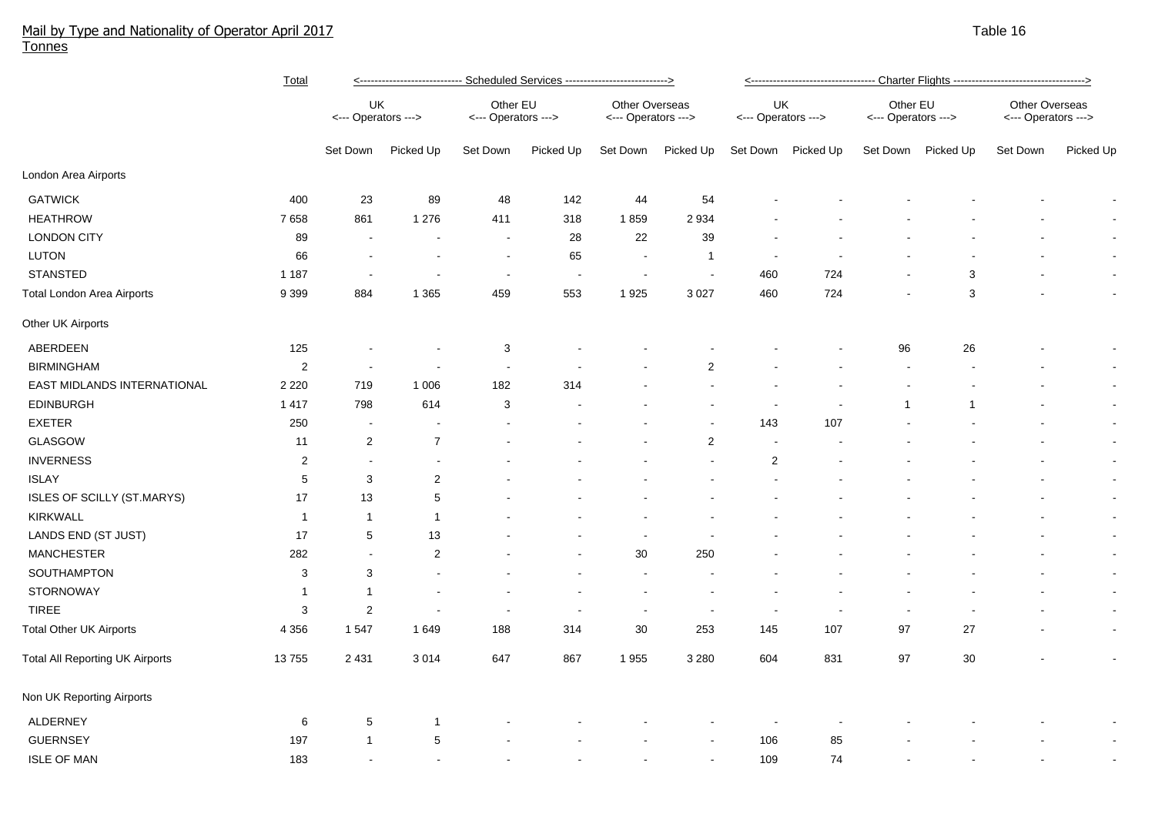## Mail by Type and Nationality of Operator April 2017 Table 16 Tonnes

|                                        | <b>Total</b>   | <----------------------------- Scheduled Services ----------------------------> |                |                                 |                          |                                       |                          |                           |                    |                                 |                    |                                       |                |  |  |
|----------------------------------------|----------------|---------------------------------------------------------------------------------|----------------|---------------------------------|--------------------------|---------------------------------------|--------------------------|---------------------------|--------------------|---------------------------------|--------------------|---------------------------------------|----------------|--|--|
|                                        |                | UK<br><--- Operators --->                                                       |                | Other EU<br><--- Operators ---> |                          | Other Overseas<br><--- Operators ---> |                          | UK<br><--- Operators ---> |                    | Other EU<br><--- Operators ---> |                    | Other Overseas<br><--- Operators ---> |                |  |  |
|                                        |                | Set Down                                                                        | Picked Up      | Set Down                        | Picked Up                | Set Down                              | Picked Up                |                           | Set Down Picked Up |                                 | Set Down Picked Up | Set Down                              | Picked Up      |  |  |
| London Area Airports                   |                |                                                                                 |                |                                 |                          |                                       |                          |                           |                    |                                 |                    |                                       |                |  |  |
| <b>GATWICK</b>                         | 400            | 23                                                                              | 89             | 48                              | 142                      | 44                                    | 54                       |                           |                    |                                 |                    |                                       | $\blacksquare$ |  |  |
| <b>HEATHROW</b>                        | 7658           | 861                                                                             | 1 2 7 6        | 411                             | 318                      | 1859                                  | 2934                     |                           |                    |                                 |                    |                                       | $\sim$         |  |  |
| <b>LONDON CITY</b>                     | 89             |                                                                                 |                | $\overline{\phantom{a}}$        | 28                       | 22                                    | 39                       |                           |                    |                                 |                    |                                       | $\blacksquare$ |  |  |
| LUTON                                  | 66             |                                                                                 |                | $\overline{\phantom{a}}$        | 65                       | $\sim$                                | $\mathbf{1}$             | $\overline{\phantom{a}}$  |                    |                                 |                    |                                       | $\blacksquare$ |  |  |
| <b>STANSTED</b>                        | 1 1 8 7        |                                                                                 |                | $\overline{\phantom{a}}$        | $\overline{\phantom{a}}$ |                                       | $\overline{\phantom{a}}$ | 460                       | 724                |                                 | 3                  |                                       | $\blacksquare$ |  |  |
| Total London Area Airports             | 9 3 9 9        | 884                                                                             | 1 3 6 5        | 459                             | 553                      | 1925                                  | 3 0 27                   | 460                       | 724                |                                 | 3                  |                                       | $\blacksquare$ |  |  |
| Other UK Airports                      |                |                                                                                 |                |                                 |                          |                                       |                          |                           |                    |                                 |                    |                                       |                |  |  |
| ABERDEEN                               | 125            |                                                                                 |                | 3                               |                          |                                       |                          |                           |                    | 96                              | 26                 |                                       | $\sim$         |  |  |
| <b>BIRMINGHAM</b>                      | $\overline{2}$ |                                                                                 |                |                                 |                          |                                       | $\overline{2}$           |                           |                    |                                 |                    |                                       | $\blacksquare$ |  |  |
| EAST MIDLANDS INTERNATIONAL            | 2 2 2 0        | 719                                                                             | 1 0 0 6        | 182                             | 314                      |                                       |                          |                           |                    |                                 |                    |                                       | $\blacksquare$ |  |  |
| <b>EDINBURGH</b>                       | 1 4 1 7        | 798                                                                             | 614            | 3                               |                          |                                       |                          |                           |                    | -1                              | -1                 |                                       | $\blacksquare$ |  |  |
| <b>EXETER</b>                          | 250            | $\overline{\phantom{a}}$                                                        |                |                                 |                          |                                       |                          | 143                       | 107                |                                 |                    |                                       | $\blacksquare$ |  |  |
| <b>GLASGOW</b>                         | 11             | 2                                                                               | $\overline{7}$ |                                 |                          |                                       | $\overline{2}$           | $\sim$                    |                    |                                 |                    |                                       | $\blacksquare$ |  |  |
| <b>INVERNESS</b>                       | $\overline{2}$ | $\overline{\phantom{a}}$                                                        | $\sim$         |                                 |                          |                                       |                          | $\overline{2}$            |                    |                                 |                    |                                       | $\blacksquare$ |  |  |
| <b>ISLAY</b>                           | $\,$ 5 $\,$    | 3                                                                               | $\overline{2}$ |                                 |                          |                                       |                          |                           |                    |                                 |                    |                                       | $\blacksquare$ |  |  |
| ISLES OF SCILLY (ST.MARYS)             | 17             | 13                                                                              | 5              |                                 |                          |                                       |                          |                           |                    |                                 |                    |                                       | $\blacksquare$ |  |  |
| KIRKWALL                               | $\mathbf{1}$   | -1                                                                              | $\mathbf 1$    |                                 |                          |                                       |                          |                           |                    |                                 |                    |                                       | $\blacksquare$ |  |  |
| LANDS END (ST JUST)                    | 17             | 5                                                                               | 13             |                                 |                          |                                       |                          |                           |                    |                                 |                    |                                       | $\blacksquare$ |  |  |
| <b>MANCHESTER</b>                      | 282            | $\overline{a}$                                                                  | $\sqrt{2}$     |                                 |                          | $30\,$                                | 250                      |                           |                    |                                 |                    |                                       | $\blacksquare$ |  |  |
| SOUTHAMPTON                            | $\sqrt{3}$     | $\mathbf{3}$                                                                    | $\blacksquare$ |                                 |                          | $\sim$                                |                          |                           |                    |                                 |                    |                                       | $\blacksquare$ |  |  |
| STORNOWAY                              | $\mathbf{1}$   | -1                                                                              | $\sim$         |                                 |                          | $\sim$                                |                          |                           |                    |                                 |                    |                                       | $\blacksquare$ |  |  |
| <b>TIREE</b>                           | 3              | $\overline{2}$                                                                  | $\sim$         | $\sim$                          |                          | $\sim$                                | $\overline{\phantom{a}}$ | $\sim$                    |                    | ÷                               |                    |                                       | $\blacksquare$ |  |  |
| <b>Total Other UK Airports</b>         | 4 3 5 6        | 1547                                                                            | 1 6 4 9        | 188                             | 314                      | 30                                    | 253                      | 145                       | 107                | 97                              | 27                 |                                       | $\blacksquare$ |  |  |
| <b>Total All Reporting UK Airports</b> | 13755          | 2 4 3 1                                                                         | 3 0 1 4        | 647                             | 867                      | 1955                                  | 3 2 8 0                  | 604                       | 831                | 97                              | 30                 |                                       | $\blacksquare$ |  |  |
| Non UK Reporting Airports              |                |                                                                                 |                |                                 |                          |                                       |                          |                           |                    |                                 |                    |                                       |                |  |  |
| ALDERNEY                               | 6              | 5                                                                               | $\mathbf{1}$   |                                 |                          |                                       |                          |                           |                    |                                 |                    |                                       |                |  |  |
| <b>GUERNSEY</b>                        | 197            | $\overline{1}$                                                                  | 5              |                                 |                          |                                       |                          | 106                       | 85                 |                                 |                    |                                       |                |  |  |
| <b>ISLE OF MAN</b>                     | 183            |                                                                                 | $\sim$         |                                 |                          |                                       |                          | 109                       | 74                 |                                 |                    |                                       |                |  |  |